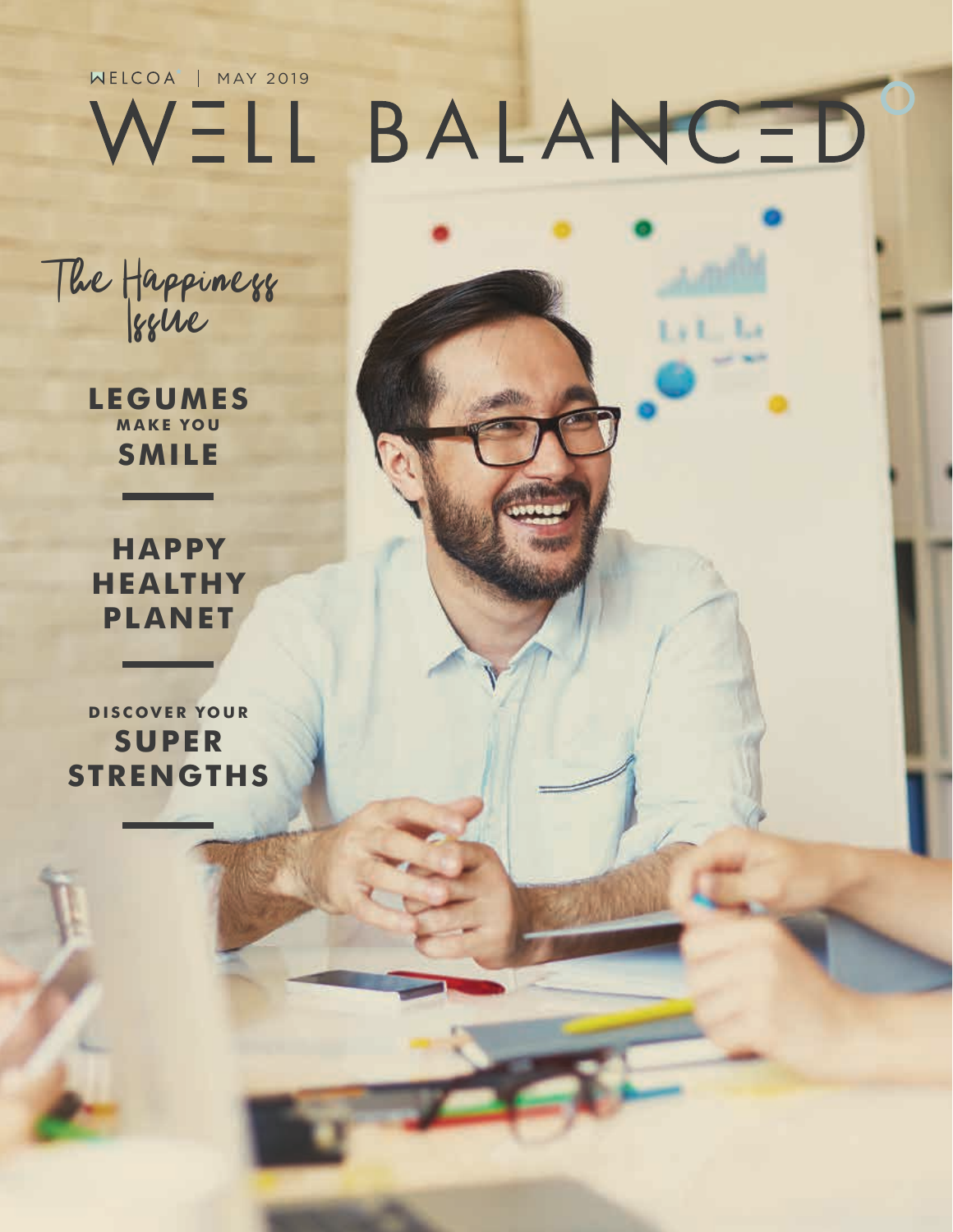## WELCOA<sup>'</sup> | MAY 2019 BALANCED WELL

Ly L. La

The Happiness

**LEGUMES MAKE YOU SMILE**

**HAPPY HEALTHY PLANET** 

**DISCOVER YOUR SUPER STRENGTHS**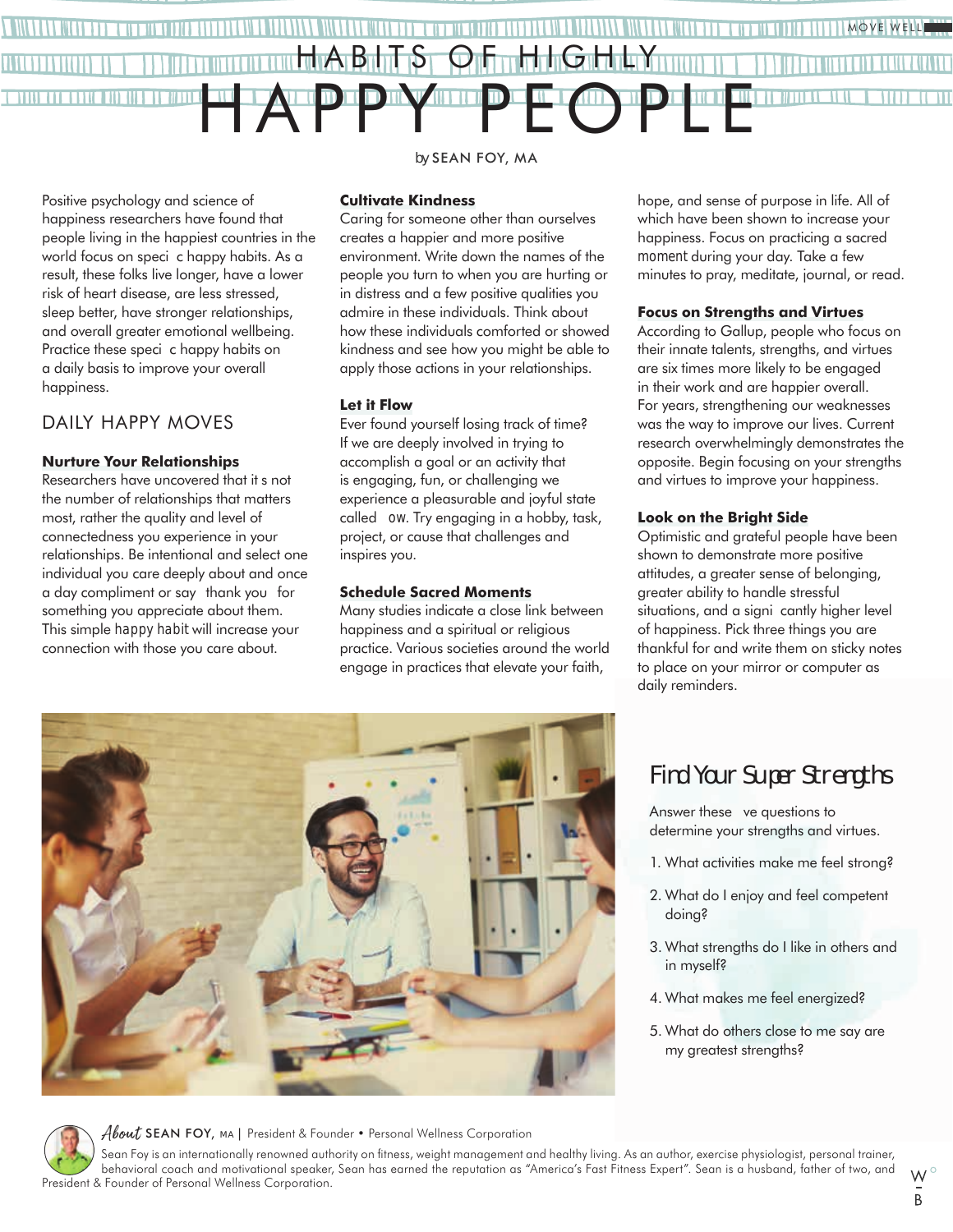

Positive psychology and science of happiness researchers have found that people living in the happiest countries in the world focus on specic happy habits. As a result, these folks live longer, have a lower risk of heart disease, are less stressed, sleep better, have stronger relationships, and overall greater emotional wellbeing. Practice these specic happy habits on a daily basis to improve your overall happiness.

#### DAILY HAPPY MOVES

#### **Nurture Your Relationships**

Researchers have uncovered that it s not the number of relationships that matters most, rather the quality and level of connectedness you experience in your relationships. Be intentional and select one individual you care deeply about and once a day compliment or say thank you for something you appreciate about them. This simple *happy habit* will increase your connection with those you care about.

#### *by* SEAN FOY, MA

**Cultivate Kindness** Caring for someone other than ourselves creates a happier and more positive environment. Write down the names of the people you turn to when you are hurting or in distress and a few positive qualities you admire in these individuals. Think about how these individuals comforted or showed kindness and see how you might be able to

apply those actions in your relationships.

#### **Let it Flow**

Ever found yourself losing track of time? If we are deeply involved in trying to accomplish a goal or an activity that is engaging, fun, or challenging we experience a pleasurable and joyful state called *ow*. Try engaging in a hobby, task, project, or cause that challenges and inspires you.

#### **Schedule Sacred Moments**

Many studies indicate a close link between happiness and a spiritual or religious practice. Various societies around the world engage in practices that elevate your faith,

hope, and sense of purpose in life. All of which have been shown to increase your happiness. Focus on practicing a sacred *moment* during your day. Take a few minutes to pray, meditate, journal, or read.

#### **Focus on Strengths and Virtues**

According to Gallup, people who focus on their innate talents, strengths, and virtues are six times more likely to be engaged in their work and are happier overall. For years, strengthening our weaknesses was the way to improve our lives. Current research overwhelmingly demonstrates the opposite. Begin focusing on your strengths and virtues to improve your happiness.

#### **Look on the Bright Side**

Optimistic and grateful people have been shown to demonstrate more positive attitudes, a greater sense of belonging, greater ability to handle stressful situations, and a signi cantly higher level of happiness. Pick three things you are thankful for and write them on sticky notes to place on your mirror or computer as daily reminders.

### Find Your Super Strengths

Answer these ve questions to determine your strengths and virtues.

- 1. What activities make me feel strong?
- 2. What do I enjoy and feel competent doing?
- 3. What strengths do I like in others and in myself?
- 4. What makes me feel energized?
- 5. What do others close to me say are my greatest strengths?

About SEAN FOY, MA | President & Founder • Personal Wellness Corporation

Sean Foy is an internationally renowned authority on fitness, weight management and healthy living. As an author, exercise physiologist, personal trainer, behavioral coach and motivational speaker, Sean has earned the reputation as "America's Fast Fitness Expert". Sean is a husband, father of two, and President & Founder of Personal Wellness Corporation.